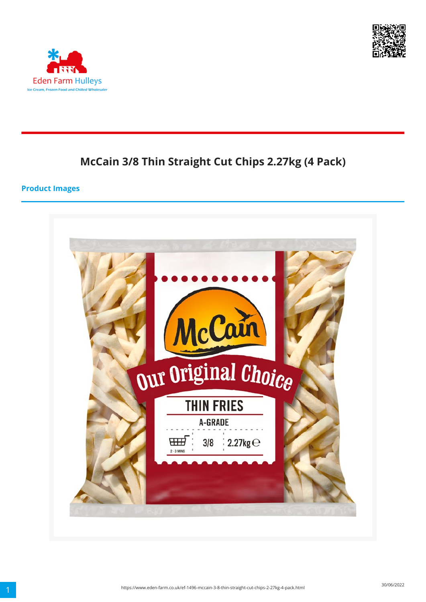



# **McCain 3/8 Thin Straight Cut Chips 2.27kg (4 Pack)**

#### **Product Images**

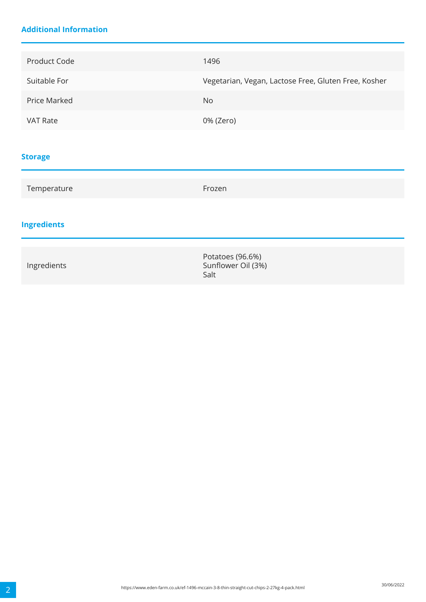### **Additional Information**

| Product Code        | 1496                                                 |
|---------------------|------------------------------------------------------|
| Suitable For        | Vegetarian, Vegan, Lactose Free, Gluten Free, Kosher |
| <b>Price Marked</b> | <b>No</b>                                            |
| VAT Rate            | 0% (Zero)                                            |
|                     |                                                      |
| <b>Storage</b>      |                                                      |

# Temperature Frozen **Ingredients**

| Ingredients | Potatoes (96.6%)<br>Sunflower Oil (3%)<br>Salt |  |
|-------------|------------------------------------------------|--|
|-------------|------------------------------------------------|--|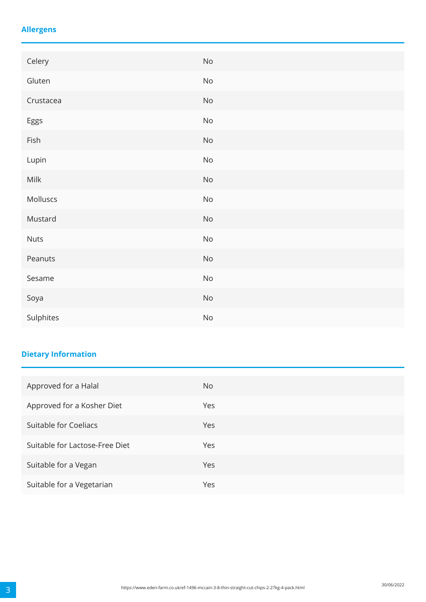### **Allergens**

| Celery      | $\mathsf{No}$                |
|-------------|------------------------------|
| Gluten      | $\mathsf{No}$                |
| Crustacea   | $\mathsf{No}$                |
| Eggs        | $\mathsf{No}$                |
| Fish        | $\mathsf{No}$                |
| Lupin       | $\mathsf{No}$                |
| Milk        | $\mathsf{No}$                |
| Molluscs    | $\mathsf{No}$                |
| Mustard     | $\operatorname{\mathsf{No}}$ |
| <b>Nuts</b> | $\rm No$                     |
| Peanuts     | $\operatorname{\mathsf{No}}$ |
| Sesame      | $\operatorname{\mathsf{No}}$ |
| Soya        | $\mathsf{No}$                |
| Sulphites   | $\mathsf{No}$                |

## **Dietary Information**

| Approved for a Halal           | No. |
|--------------------------------|-----|
| Approved for a Kosher Diet     | Yes |
| Suitable for Coeliacs          | Yes |
| Suitable for Lactose-Free Diet | Yes |
| Suitable for a Vegan           | Yes |
| Suitable for a Vegetarian      | Yes |